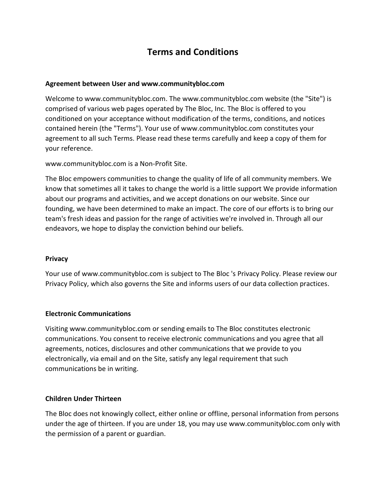# **Terms and Conditions**

### **Agreement between User and www.communitybloc.com**

Welcome to www.communitybloc.com. The www.communitybloc.com website (the "Site") is comprised of various web pages operated by The Bloc, Inc. The Bloc is offered to you conditioned on your acceptance without modification of the terms, conditions, and notices contained herein (the "Terms"). Your use of www.communitybloc.com constitutes your agreement to all such Terms. Please read these terms carefully and keep a copy of them for your reference.

www.communitybloc.com is a Non-Profit Site.

The Bloc empowers communities to change the quality of life of all community members. We know that sometimes all it takes to change the world is a little support We provide information about our programs and activities, and we accept donations on our website. Since our founding, we have been determined to make an impact. The core of our efforts is to bring our team's fresh ideas and passion for the range of activities we're involved in. Through all our endeavors, we hope to display the conviction behind our beliefs.

#### **Privacy**

Your use of www.communitybloc.com is subject to The Bloc 's Privacy Policy. Please review our Privacy Policy, which also governs the Site and informs users of our data collection practices.

### **Electronic Communications**

Visiting www.communitybloc.com or sending emails to The Bloc constitutes electronic communications. You consent to receive electronic communications and you agree that all agreements, notices, disclosures and other communications that we provide to you electronically, via email and on the Site, satisfy any legal requirement that such communications be in writing.

### **Children Under Thirteen**

The Bloc does not knowingly collect, either online or offline, personal information from persons under the age of thirteen. If you are under 18, you may use www.communitybloc.com only with the permission of a parent or guardian.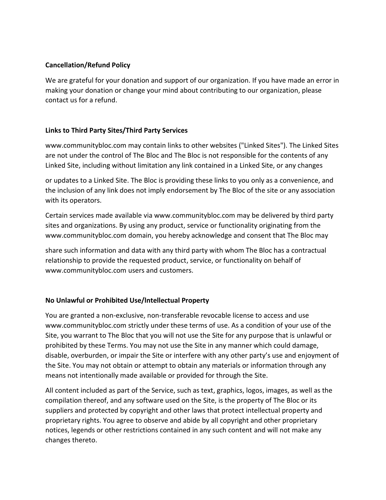## **Cancellation/Refund Policy**

We are grateful for your donation and support of our organization. If you have made an error in making your donation or change your mind about contributing to our organization, please contact us for a refund.

## **Links to Third Party Sites/Third Party Services**

www.communitybloc.com may contain links to other websites ("Linked Sites"). The Linked Sites are not under the control of The Bloc and The Bloc is not responsible for the contents of any Linked Site, including without limitation any link contained in a Linked Site, or any changes

or updates to a Linked Site. The Bloc is providing these links to you only as a convenience, and the inclusion of any link does not imply endorsement by The Bloc of the site or any association with its operators.

Certain services made available via www.communitybloc.com may be delivered by third party sites and organizations. By using any product, service or functionality originating from the www.communitybloc.com domain, you hereby acknowledge and consent that The Bloc may

share such information and data with any third party with whom The Bloc has a contractual relationship to provide the requested product, service, or functionality on behalf of www.communitybloc.com users and customers.

## **No Unlawful or Prohibited Use/lntellectual Property**

You are granted a non-exclusive, non-transferable revocable license to access and use www.communitybloc.com strictly under these terms of use. As a condition of your use of the Site, you warrant to The Bloc that you will not use the Site for any purpose that is unlawful or prohibited by these Terms. You may not use the Site in any manner which could damage, disable, overburden, or impair the Site or interfere with any other party's use and enjoyment of the Site. You may not obtain or attempt to obtain any materials or information through any means not intentionally made available or provided for through the Site.

All content included as part of the Service, such as text, graphics, logos, images, as well as the compilation thereof, and any software used on the Site, is the property of The Bloc or its suppliers and protected by copyright and other laws that protect intellectual property and proprietary rights. You agree to observe and abide by all copyright and other proprietary notices, legends or other restrictions contained in any such content and will not make any changes thereto.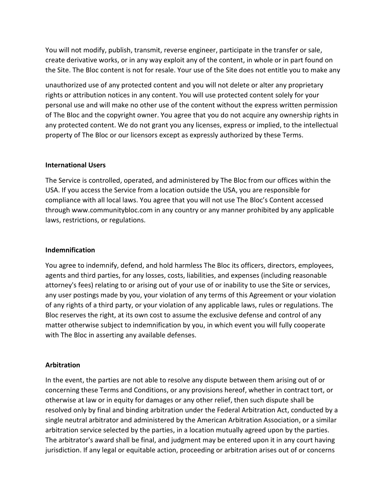You will not modify, publish, transmit, reverse engineer, participate in the transfer or sale, create derivative works, or in any way exploit any of the content, in whole or in part found on the Site. The Bloc content is not for resale. Your use of the Site does not entitle you to make any

unauthorized use of any protected content and you will not delete or alter any proprietary rights or attribution notices in any content. You will use protected content solely for your personal use and will make no other use of the content without the express written permission of The Bloc and the copyright owner. You agree that you do not acquire any ownership rights in any protected content. We do not grant you any licenses, express or implied, to the intellectual property of The Bloc or our licensors except as expressly authorized by these Terms.

### **International Users**

The Service is controlled, operated, and administered by The Bloc from our offices within the USA. If you access the Service from a location outside the USA, you are responsible for compliance with all local laws. You agree that you will not use The Bloc's Content accessed through www.communitybloc.com in any country or any manner prohibited by any applicable laws, restrictions, or regulations.

#### **Indemnification**

You agree to indemnify, defend, and hold harmless The Bloc its officers, directors, employees, agents and third parties, for any losses, costs, liabilities, and expenses (including reasonable attorney's fees) relating to or arising out of your use of or inability to use the Site or services, any user postings made by you, your violation of any terms of this Agreement or your violation of any rights of a third party, or your violation of any applicable laws, rules or regulations. The Bloc reserves the right, at its own cost to assume the exclusive defense and control of any matter otherwise subject to indemnification by you, in which event you will fully cooperate with The Bloc in asserting any available defenses.

### **Arbitration**

In the event, the parties are not able to resolve any dispute between them arising out of or concerning these Terms and Conditions, or any provisions hereof, whether in contract tort, or otherwise at law or in equity for damages or any other relief, then such dispute shall be resolved only by final and binding arbitration under the Federal Arbitration Act, conducted by a single neutral arbitrator and administered by the American Arbitration Association, or a similar arbitration service selected by the parties, in a location mutually agreed upon by the parties. The arbitrator's award shall be final, and judgment may be entered upon it in any court having jurisdiction. If any legal or equitable action, proceeding or arbitration arises out of or concerns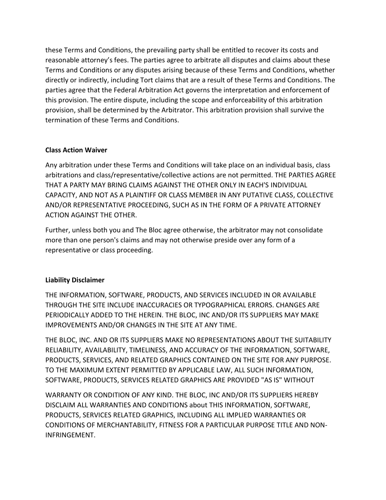these Terms and Conditions, the prevailing party shall be entitled to recover its costs and reasonable attorney's fees. The parties agree to arbitrate all disputes and claims about these Terms and Conditions or any disputes arising because of these Terms and Conditions, whether directly or indirectly, including Tort claims that are a result of these Terms and Conditions. The parties agree that the Federal Arbitration Act governs the interpretation and enforcement of this provision. The entire dispute, including the scope and enforceability of this arbitration provision, shall be determined by the Arbitrator. This arbitration provision shall survive the termination of these Terms and Conditions.

## **Class Action Waiver**

Any arbitration under these Terms and Conditions will take place on an individual basis, class arbitrations and class/representative/collective actions are not permitted. THE PARTIES AGREE THAT A PARTY MAY BRING CLAIMS AGAINST THE OTHER ONLY IN EACH'S INDIVIDUAL CAPACITY, AND NOT AS A PLAINTIFF OR CLASS MEMBER IN ANY PUTATIVE CLASS, COLLECTIVE AND/OR REPRESENTATIVE PROCEEDING, SUCH AS IN THE FORM OF A PRIVATE ATTORNEY ACTION AGAINST THE OTHER.

Further, unless both you and The Bloc agree otherwise, the arbitrator may not consolidate more than one person's claims and may not otherwise preside over any form of a representative or class proceeding.

### **Liability Disclaimer**

THE INFORMATION, SOFTWARE, PRODUCTS, AND SERVICES INCLUDED IN OR AVAILABLE THROUGH THE SITE INCLUDE INACCURACIES OR TYPOGRAPHICAL ERRORS. CHANGES ARE PERIODICALLY ADDED TO THE HEREIN. THE BLOC, INC AND/OR ITS SUPPLIERS MAY MAKE IMPROVEMENTS AND/OR CHANGES IN THE SITE AT ANY TIME.

THE BLOC, INC. AND OR ITS SUPPLIERS MAKE NO REPRESENTATIONS ABOUT THE SUITABILITY RELIABILITY, AVAILABILITY, TIMELINESS, AND ACCURACY OF THE INFORMATION, SOFTWARE, PRODUCTS, SERVICES, AND RELATED GRAPHICS CONTAINED ON THE SITE FOR ANY PURPOSE. TO THE MAXIMUM EXTENT PERMITTED BY APPLICABLE LAW, ALL SUCH INFORMATION, SOFTWARE, PRODUCTS, SERVICES RELATED GRAPHICS ARE PROVIDED "AS IS" WITHOUT

WARRANTY OR CONDITION OF ANY KIND. THE BLOC, INC AND/OR ITS SUPPLIERS HEREBY DISCLAIM ALL WARRANTIES AND CONDITIONS about THIS INFORMATION, SOFTWARE, PRODUCTS, SERVICES RELATED GRAPHICS, INCLUDING ALL IMPLIED WARRANTIES OR CONDITIONS OF MERCHANTABILITY, FITNESS FOR A PARTICULAR PURPOSE TITLE AND NON-INFRINGEMENT.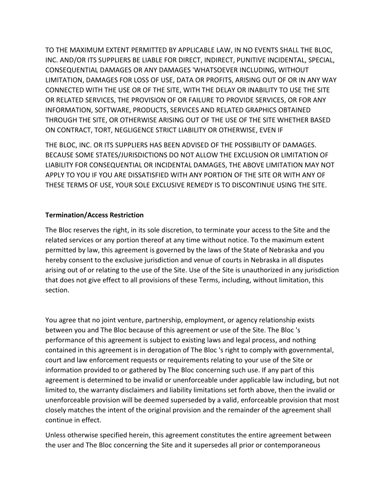TO THE MAXIMUM EXTENT PERMITTED BY APPLICABLE LAW, IN NO EVENTS SHALL THE BLOC, INC. AND/OR ITS SUPPLIERS BE LIABLE FOR DIRECT, INDIRECT, PUNITIVE INCIDENTAL, SPECIAL, CONSEQUENTIAL DAMAGES OR ANY DAMAGES 'WHATSOEVER INCLUDING, WITHOUT LIMITATION, DAMAGES FOR LOSS OF USE, DATA OR PROFITS, ARISING OUT OF OR IN ANY WAY CONNECTED WITH THE USE OR OF THE SITE, WITH THE DELAY OR INABILITY TO USE THE SITE OR RELATED SERVICES, THE PROVISION OF OR FAILURE TO PROVIDE SERVICES, OR FOR ANY INFORMATION, SOFTWARE, PRODUCTS, SERVICES AND RELATED GRAPHICS OBTAINED THROUGH THE SITE, OR OTHERWISE ARISING OUT OF THE USE OF THE SITE WHETHER BASED ON CONTRACT, TORT, NEGLIGENCE STRICT LIABILITY OR OTHERWISE, EVEN IF

THE BLOC, INC. OR ITS SUPPLIERS HAS BEEN ADVISED OF THE POSSIBILITY OF DAMAGES. BECAUSE SOME STATES/JURISDICTIONS DO NOT ALLOW THE EXCLUSION OR LIMITATION OF LIABILITY FOR CONSEQUENTIAL OR INCIDENTAL DAMAGES, THE ABOVE LIMITATION MAY NOT APPLY TO YOU IF YOU ARE DISSATISFIED WITH ANY PORTION OF THE SITE OR WITH ANY OF THESE TERMS OF USE, YOUR SOLE EXCLUSIVE REMEDY IS TO DISCONTINUE USING THE SITE.

## **Termination/Access Restriction**

The Bloc reserves the right, in its sole discretion, to terminate your access to the Site and the related services or any portion thereof at any time without notice. To the maximum extent permitted by law, this agreement is governed by the laws of the State of Nebraska and you hereby consent to the exclusive jurisdiction and venue of courts in Nebraska in all disputes arising out of or relating to the use of the Site. Use of the Site is unauthorized in any jurisdiction that does not give effect to all provisions of these Terms, including, without limitation, this section.

You agree that no joint venture, partnership, employment, or agency relationship exists between you and The Bloc because of this agreement or use of the Site. The Bloc 's performance of this agreement is subject to existing laws and legal process, and nothing contained in this agreement is in derogation of The Bloc 's right to comply with governmental, court and law enforcement requests or requirements relating to your use of the Site or information provided to or gathered by The Bloc concerning such use. If any part of this agreement is determined to be invalid or unenforceable under applicable law including, but not limited to, the warranty disclaimers and liability limitations set forth above, then the invalid or unenforceable provision will be deemed superseded by a valid, enforceable provision that most closely matches the intent of the original provision and the remainder of the agreement shall continue in effect.

Unless otherwise specified herein, this agreement constitutes the entire agreement between the user and The Bloc concerning the Site and it supersedes all prior or contemporaneous